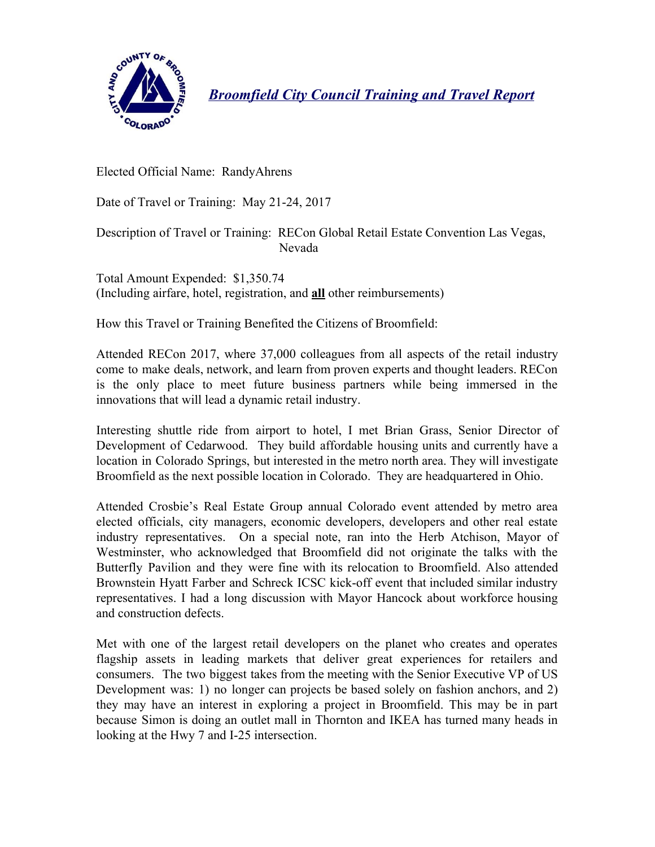

*Broomfield City Council Training and Travel Report*

Elected Official Name: RandyAhrens

Date of Travel or Training: May 21-24, 2017

Description of Travel or Training: RECon Global Retail Estate Convention Las Vegas, Nevada

Total Amount Expended: \$1,350.74 (Including airfare, hotel, registration, and **all** other reimbursements)

How this Travel or Training Benefited the Citizens of Broomfield:

Attended RECon 2017, where 37,000 colleagues from all aspects of the retail industry come to make deals, network, and learn from proven experts and thought leaders. RECon is the only place to meet future business partners while being immersed in the innovations that will lead a dynamic retail industry.

Interesting shuttle ride from airport to hotel, I met Brian Grass, Senior Director of Development of Cedarwood. They build affordable housing units and currently have a location in Colorado Springs, but interested in the metro north area. They will investigate Broomfield as the next possible location in Colorado. They are headquartered in Ohio.

Attended Crosbie's Real Estate Group annual Colorado event attended by metro area elected officials, city managers, economic developers, developers and other real estate industry representatives. On a special note, ran into the Herb Atchison, Mayor of Westminster, who acknowledged that Broomfield did not originate the talks with the Butterfly Pavilion and they were fine with its relocation to Broomfield. Also attended Brownstein Hyatt Farber and Schreck ICSC kick-off event that included similar industry representatives. I had a long discussion with Mayor Hancock about workforce housing and construction defects.

Met with one of the largest retail developers on the planet who creates and operates flagship assets in leading markets that deliver great experiences for retailers and consumers. The two biggest takes from the meeting with the Senior Executive VP of US Development was: 1) no longer can projects be based solely on fashion anchors, and 2) they may have an interest in exploring a project in Broomfield. This may be in part because Simon is doing an outlet mall in Thornton and IKEA has turned many heads in looking at the Hwy 7 and I-25 intersection.